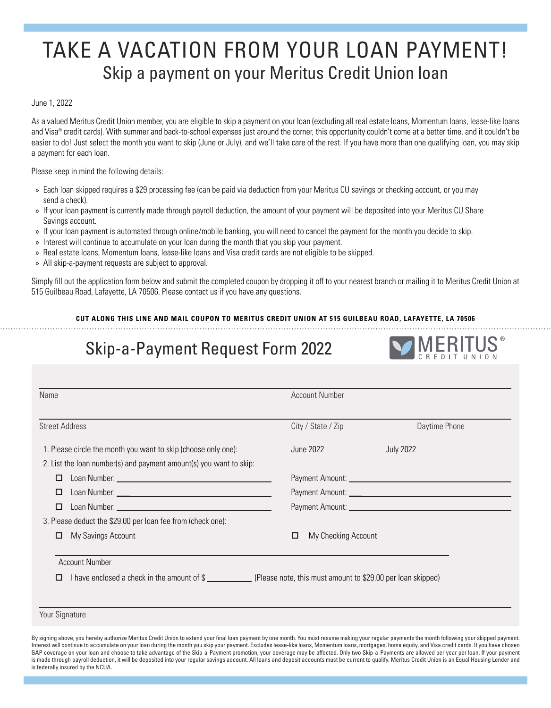## TAKE A VACATION FROM YOUR LOAN PAYMENT! Skip a payment on your Meritus Credit Union loan

June 1, 2022

As a valued Meritus Credit Union member, you are eligible to skip a payment on your loan (excluding all real estate loans, Momentum loans, lease-like loans and Visa® credit cards). With summer and back-to-school expenses just around the corner, this opportunity couldn't come at a better time, and it couldn't be easier to do! Just select the month you want to skip (June or July), and we'll take care of the rest. If you have more than one qualifying loan, you may skip a payment for each loan.

Please keep in mind the following details:

- » Each loan skipped requires a \$29 processing fee (can be paid via deduction from your Meritus CU savings or checking account, or you may send a check).
- » If your loan payment is currently made through payroll deduction, the amount of your payment will be deposited into your Meritus CU Share Savings account.
- » If your loan payment is automated through online/mobile banking, you will need to cancel the payment for the month you decide to skip.
- » Interest will continue to accumulate on your loan during the month that you skip your payment.
- » Real estate loans, Momentum loans, lease-like loans and Visa credit cards are not eligible to be skipped.
- » All skip-a-payment requests are subject to approval.

Simply fill out the application form below and submit the completed coupon by dropping it off to your nearest branch or mailing it to Meritus Credit Union at 515 Guilbeau Road, Lafayette, LA 70506. Please contact us if you have any questions.

## **CUT ALONG THIS LINE AND MAIL COUPON TO MERITUS CREDIT UNION AT 515 GUILBEAU ROAD, LAFAYETTE, LA 70506**

## Skip-a-Payment Request Form 2022



| Name                                                                                                                                                | <b>Account Number</b>    |                  |
|-----------------------------------------------------------------------------------------------------------------------------------------------------|--------------------------|------------------|
| <b>Street Address</b>                                                                                                                               | City / State / Zip       | Daytime Phone    |
| 1. Please circle the month you want to skip (choose only one):                                                                                      | June 2022                | <b>July 2022</b> |
| 2. List the loan number(s) and payment amount(s) you want to skip:                                                                                  |                          |                  |
| □                                                                                                                                                   |                          |                  |
| □                                                                                                                                                   |                          |                  |
| П.                                                                                                                                                  |                          |                  |
| 3. Please deduct the \$29.00 per loan fee from (check one):                                                                                         |                          |                  |
| My Savings Account<br>□                                                                                                                             | My Checking Account<br>□ |                  |
| <b>Account Number</b><br>I have enclosed a check in the amount of \$_______________(Please note, this must amount to \$29.00 per loan skipped)<br>□ |                          |                  |

Your Signature

By signing above, you hereby authorize Meritus Credit Union to extend your final loan payment by one month. You must resume making your regular payments the month following your skipped payment. Interest will continue to accumulate on your loan during the month you skip your payment. Excludes lease-like loans, Momentum loans, mortgages, home equity, and Visa credit cards. If you have chosen GAP coverage on your loan and choose to take advantage of the Skip-a-Payment promotion, your coverage may be affected. Only two Skip-a-Payments are allowed per year per loan. If your payment is made through payroll deduction, it will be deposited into your regular savings account. All loans and deposit accounts must be current to qualify. Meritus Credit Union is an Equal Housing Lender and is federally insured by the NCUA.